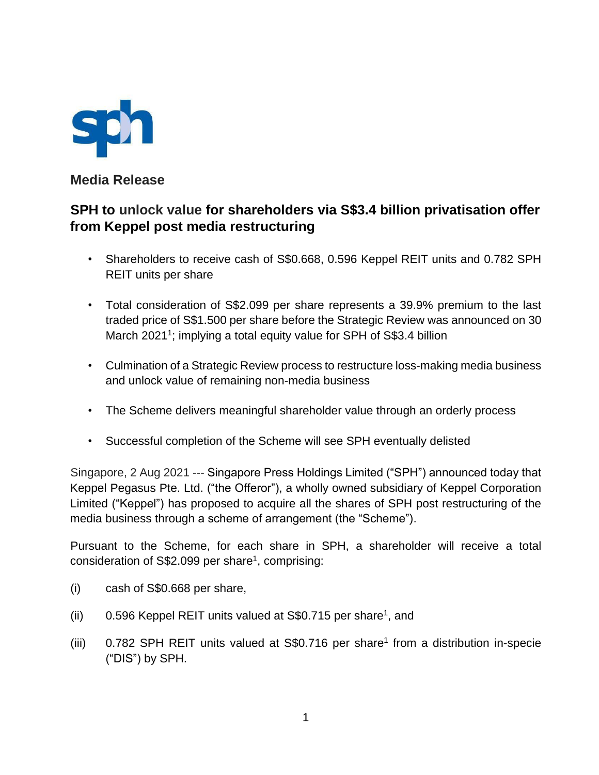

**Media Release** 

# **SPH to unlock value for shareholders via S\$3.4 billion privatisation offer from Keppel post media restructuring**

- Shareholders to receive cash of S\$0.668, 0.596 Keppel REIT units and 0.782 SPH REIT units per share
- Total consideration of S\$2.099 per share represents a 39.9% premium to the last traded price of S\$1.500 per share before the Strategic Review was announced on 30 March 2021<sup>1</sup>; implying a total equity value for SPH of S\$3.4 billion
- Culmination of a Strategic Review process to restructure loss-making media business and unlock value of remaining non-media business
- The Scheme delivers meaningful shareholder value through an orderly process
- Successful completion of the Scheme will see SPH eventually delisted

Singapore, 2 Aug 2021 --- Singapore Press Holdings Limited ("SPH") announced today that Keppel Pegasus Pte. Ltd. ("the Offeror"), a wholly owned subsidiary of Keppel Corporation Limited ("Keppel") has proposed to acquire all the shares of SPH post restructuring of the media business through a scheme of arrangement (the "Scheme").

Pursuant to the Scheme, for each share in SPH, a shareholder will receive a total consideration of S\$2.099 per share<sup>1</sup>, comprising:

- (i) cash of S\$0.668 per share,
- (ii)  $0.596$  Keppel REIT units valued at S\$0.715 per share<sup>1</sup>, and
- (iii)  $0.782$  SPH REIT units valued at S\$0.716 per share<sup>1</sup> from a distribution in-specie ("DIS") by SPH.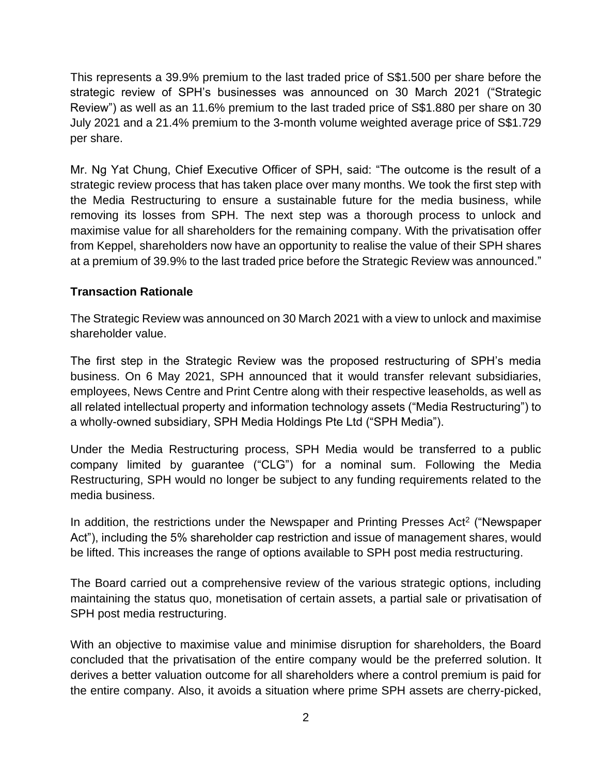This represents a 39.9% premium to the last traded price of S\$1.500 per share before the strategic review of SPH's businesses was announced on 30 March 2021 ("Strategic Review") as well as an 11.6% premium to the last traded price of S\$1.880 per share on 30 July 2021 and a 21.4% premium to the 3-month volume weighted average price of S\$1.729 per share.

Mr. Ng Yat Chung, Chief Executive Officer of SPH, said: "The outcome is the result of a strategic review process that has taken place over many months. We took the first step with the Media Restructuring to ensure a sustainable future for the media business, while removing its losses from SPH. The next step was a thorough process to unlock and maximise value for all shareholders for the remaining company. With the privatisation offer from Keppel, shareholders now have an opportunity to realise the value of their SPH shares at a premium of 39.9% to the last traded price before the Strategic Review was announced."

### **Transaction Rationale**

The Strategic Review was announced on 30 March 2021 with a view to unlock and maximise shareholder value.

The first step in the Strategic Review was the proposed restructuring of SPH's media business. On 6 May 2021, SPH announced that it would transfer relevant subsidiaries, employees, News Centre and Print Centre along with their respective leaseholds, as well as all related intellectual property and information technology assets ("Media Restructuring") to a wholly-owned subsidiary, SPH Media Holdings Pte Ltd ("SPH Media").

Under the Media Restructuring process, SPH Media would be transferred to a public company limited by guarantee ("CLG") for a nominal sum. Following the Media Restructuring, SPH would no longer be subject to any funding requirements related to the media business.

In addition, the restrictions under the Newspaper and Printing Presses Act<sup>2</sup> ("Newspaper Act"), including the 5% shareholder cap restriction and issue of management shares, would be lifted. This increases the range of options available to SPH post media restructuring.

The Board carried out a comprehensive review of the various strategic options, including maintaining the status quo, monetisation of certain assets, a partial sale or privatisation of SPH post media restructuring.

With an objective to maximise value and minimise disruption for shareholders, the Board concluded that the privatisation of the entire company would be the preferred solution. It derives a better valuation outcome for all shareholders where a control premium is paid for the entire company. Also, it avoids a situation where prime SPH assets are cherry-picked,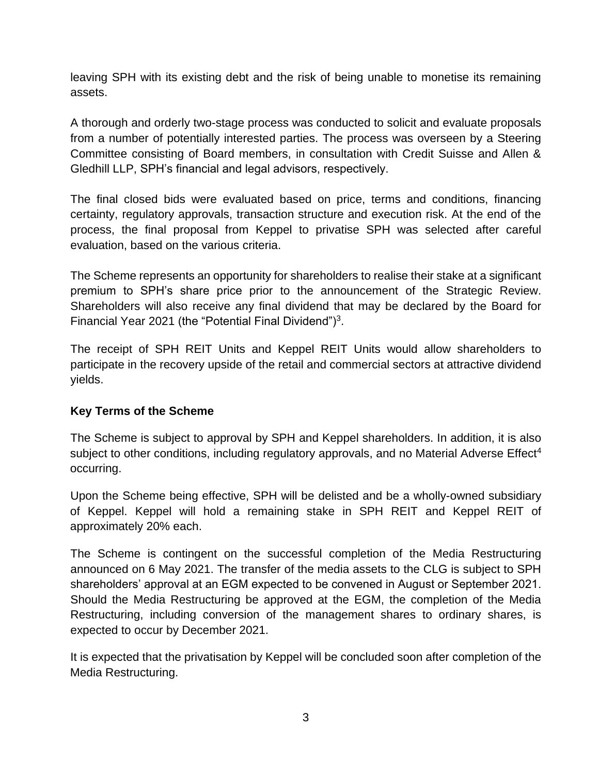leaving SPH with its existing debt and the risk of being unable to monetise its remaining assets.

A thorough and orderly two-stage process was conducted to solicit and evaluate proposals from a number of potentially interested parties. The process was overseen by a Steering Committee consisting of Board members, in consultation with Credit Suisse and Allen & Gledhill LLP, SPH's financial and legal advisors, respectively.

The final closed bids were evaluated based on price, terms and conditions, financing certainty, regulatory approvals, transaction structure and execution risk. At the end of the process, the final proposal from Keppel to privatise SPH was selected after careful evaluation, based on the various criteria.

The Scheme represents an opportunity for shareholders to realise their stake at a significant premium to SPH's share price prior to the announcement of the Strategic Review. Shareholders will also receive any final dividend that may be declared by the Board for Financial Year 2021 (the "Potential Final Dividend")<sup>3</sup>.

The receipt of SPH REIT Units and Keppel REIT Units would allow shareholders to participate in the recovery upside of the retail and commercial sectors at attractive dividend yields.

# **Key Terms of the Scheme**

The Scheme is subject to approval by SPH and Keppel shareholders. In addition, it is also subject to other conditions, including regulatory approvals, and no Material Adverse Effect<sup>4</sup> occurring.

Upon the Scheme being effective, SPH will be delisted and be a wholly-owned subsidiary of Keppel. Keppel will hold a remaining stake in SPH REIT and Keppel REIT of approximately 20% each.

The Scheme is contingent on the successful completion of the Media Restructuring announced on 6 May 2021. The transfer of the media assets to the CLG is subject to SPH shareholders' approval at an EGM expected to be convened in August or September 2021. Should the Media Restructuring be approved at the EGM, the completion of the Media Restructuring, including conversion of the management shares to ordinary shares, is expected to occur by December 2021.

It is expected that the privatisation by Keppel will be concluded soon after completion of the Media Restructuring.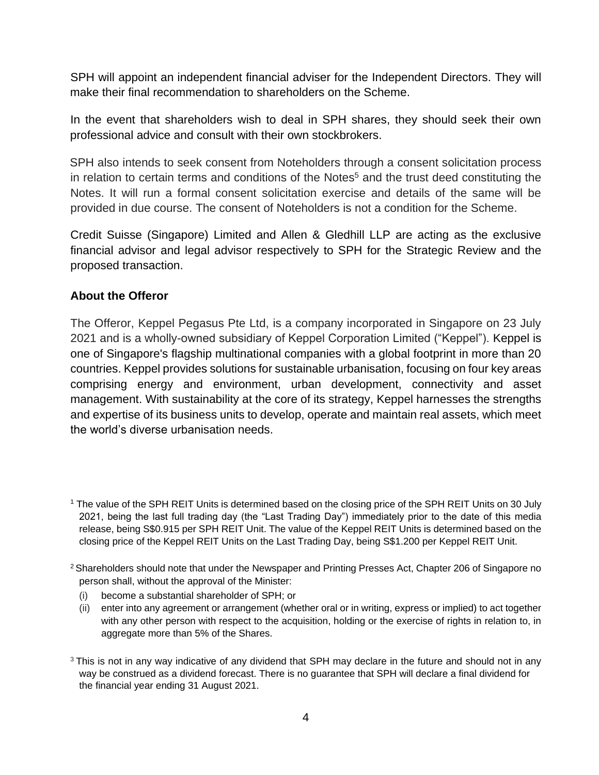SPH will appoint an independent financial adviser for the Independent Directors. They will make their final recommendation to shareholders on the Scheme.

In the event that shareholders wish to deal in SPH shares, they should seek their own professional advice and consult with their own stockbrokers.

SPH also intends to seek consent from Noteholders through a consent solicitation process in relation to certain terms and conditions of the Notes<sup>5</sup> and the trust deed constituting the Notes. It will run a formal consent solicitation exercise and details of the same will be provided in due course. The consent of Noteholders is not a condition for the Scheme.

Credit Suisse (Singapore) Limited and Allen & Gledhill LLP are acting as the exclusive financial advisor and legal advisor respectively to SPH for the Strategic Review and the proposed transaction.

### **About the Offeror**

The Offeror, Keppel Pegasus Pte Ltd, is a company incorporated in Singapore on 23 July 2021 and is a wholly-owned subsidiary of Keppel Corporation Limited ("Keppel"). Keppel is one of Singapore's flagship multinational companies with a global footprint in more than 20 countries. Keppel provides solutions for sustainable urbanisation, focusing on four key areas comprising energy and environment, urban development, connectivity and asset management. With sustainability at the core of its strategy, Keppel harnesses the strengths and expertise of its business units to develop, operate and maintain real assets, which meet the world's diverse urbanisation needs.

- <sup>2</sup> Shareholders should note that under the Newspaper and Printing Presses Act, Chapter 206 of Singapore no person shall, without the approval of the Minister:
	- (i) become a substantial shareholder of SPH; or
	- (ii) enter into any agreement or arrangement (whether oral or in writing, express or implied) to act together with any other person with respect to the acquisition, holding or the exercise of rights in relation to, in aggregate more than 5% of the Shares.
- <sup>3</sup> This is not in any way indicative of any dividend that SPH may declare in the future and should not in any way be construed as a dividend forecast. There is no guarantee that SPH will declare a final dividend for the financial year ending 31 August 2021.

<sup>&</sup>lt;sup>1</sup> The value of the SPH REIT Units is determined based on the closing price of the SPH REIT Units on 30 July 2021, being the last full trading day (the "Last Trading Day") immediately prior to the date of this media release, being S\$0.915 per SPH REIT Unit. The value of the Keppel REIT Units is determined based on the closing price of the Keppel REIT Units on the Last Trading Day, being S\$1.200 per Keppel REIT Unit.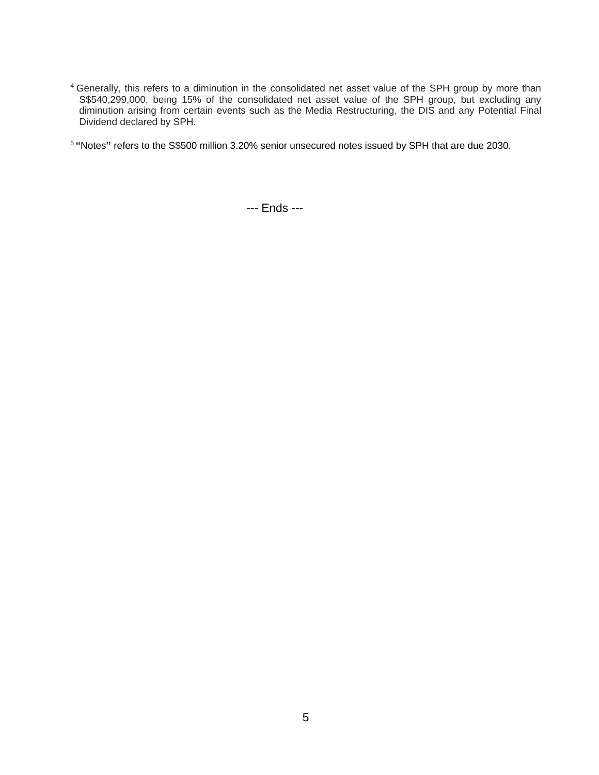- <sup>4</sup> Generally, this refers to a diminution in the consolidated net asset value of the SPH group by more than S\$540,299,000, being 15% of the consolidated net asset value of the SPH group, but excluding any diminution arising from certain events such as the Media Restructuring, the DIS and any Potential Final Dividend declared by SPH.
- <sup>5</sup> **"**Notes**"** refers to the S\$500 million 3.20% senior unsecured notes issued by SPH that are due 2030.

--- Ends ---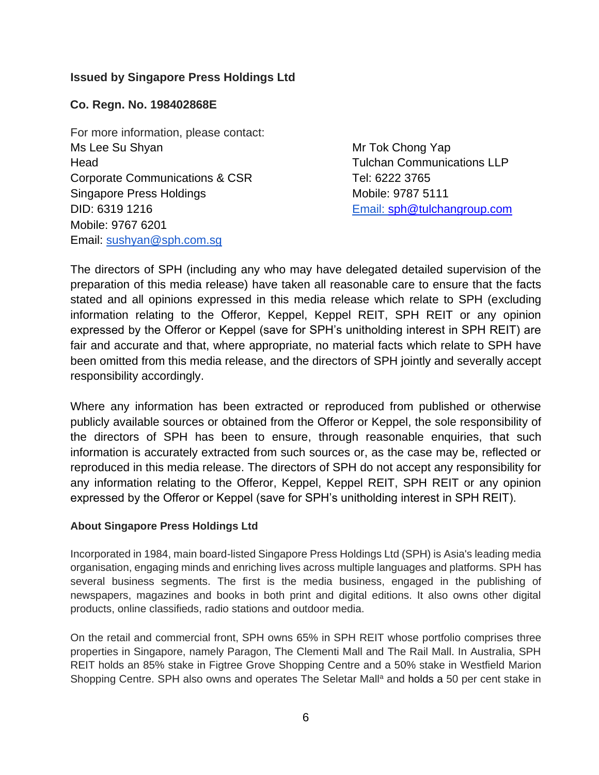# **Issued by Singapore Press Holdings Ltd**

#### **Co. Regn. No. 198402868E**

For more information, please contact: Ms Lee Su Shyan Mr Tok Chong Yap Head Tulchan Communications LLP Corporate Communications & CSR Tel: 6222 3765 Singapore Press Holdings Mobile: 9787 5111 DID: 6319 1216 Mobile: 9767 6201 Email: sushyan@sph.com.sg

Email: sph@tulchangroup.com

The directors of SPH (including any who may have delegated detailed supervision of the preparation of this media release) have taken all reasonable care to ensure that the facts stated and all opinions expressed in this media release which relate to SPH (excluding information relating to the Offeror, Keppel, Keppel REIT, SPH REIT or any opinion expressed by the Offeror or Keppel (save for SPH's unitholding interest in SPH REIT) are fair and accurate and that, where appropriate, no material facts which relate to SPH have been omitted from this media release, and the directors of SPH jointly and severally accept responsibility accordingly.

Where any information has been extracted or reproduced from published or otherwise publicly available sources or obtained from the Offeror or Keppel, the sole responsibility of the directors of SPH has been to ensure, through reasonable enquiries, that such information is accurately extracted from such sources or, as the case may be, reflected or reproduced in this media release. The directors of SPH do not accept any responsibility for any information relating to the Offeror, Keppel, Keppel REIT, SPH REIT or any opinion expressed by the Offeror or Keppel (save for SPH's unitholding interest in SPH REIT).

#### **About Singapore Press Holdings Ltd**

Incorporated in 1984, main board-listed Singapore Press Holdings Ltd (SPH) is Asia's leading media organisation, engaging minds and enriching lives across multiple languages and platforms. SPH has several business segments. The first is the media business, engaged in the publishing of newspapers, magazines and books in both print and digital editions. It also owns other digital products, online classifieds, radio stations and outdoor media.

On the retail and commercial front, SPH owns 65% in SPH REIT whose portfolio comprises three properties in Singapore, namely Paragon, The Clementi Mall and The Rail Mall. In Australia, SPH REIT holds an 85% stake in Figtree Grove Shopping Centre and a 50% stake in Westfield Marion Shopping Centre. SPH also owns and operates The Seletar Mall<sup>a</sup> and holds a 50 per cent stake in